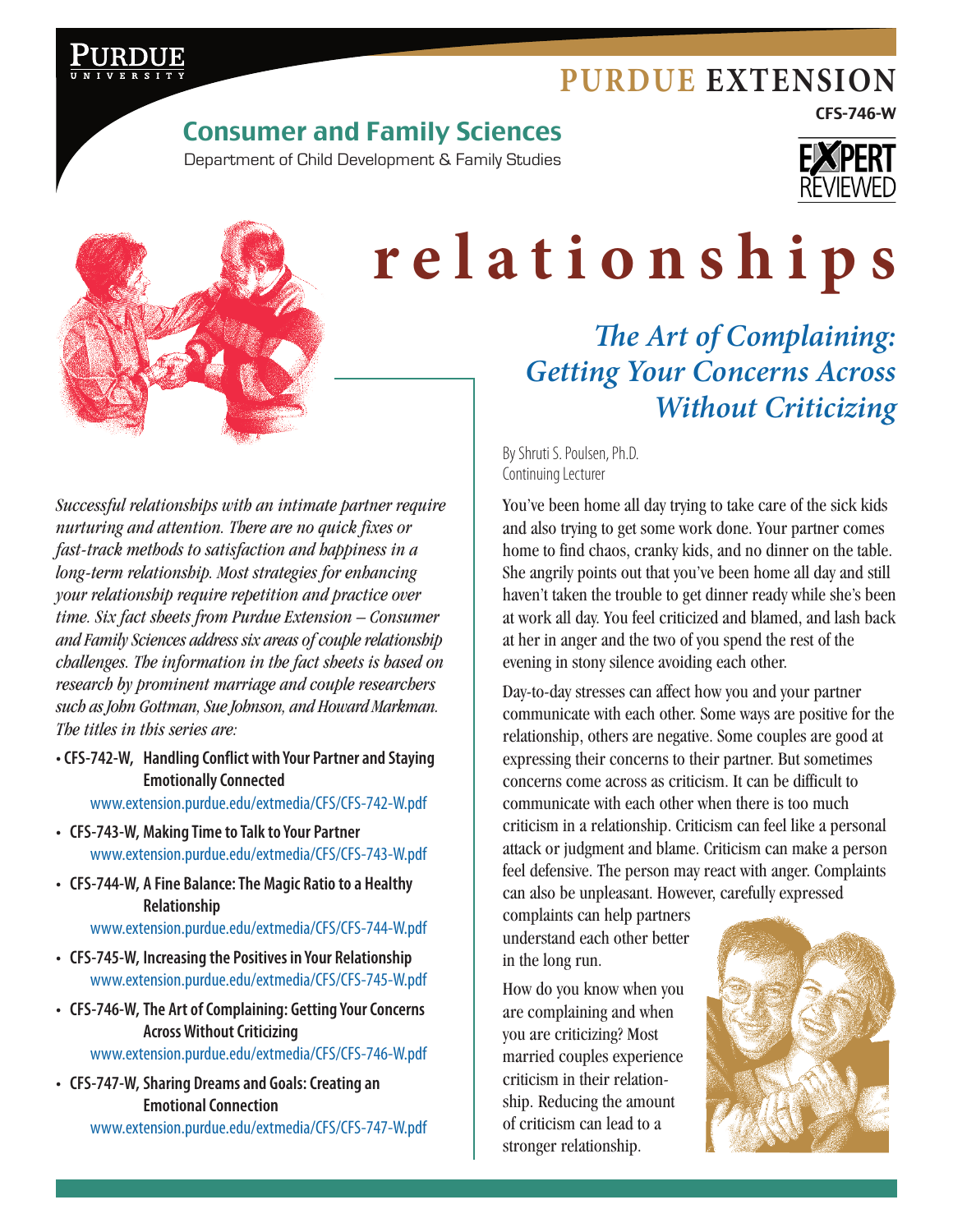

*The Art of Complaining:* 

CFS-746-W

# Consumer and Family Sciences

Department of Child Development & Family Studies





# **relationships**

*Getting Your Concerns Across Without Criticizing*

By Shruti S. Poulsen, Ph.D. Continuing Lecturer

You've been home all day trying to take care of the sick kids and also trying to get some work done. Your partner comes home to find chaos, cranky kids, and no dinner on the table. She angrily points out that you've been home all day and still haven't taken the trouble to get dinner ready while she's been at work all day. You feel criticized and blamed, and lash back at her in anger and the two of you spend the rest of the evening in stony silence avoiding each other.

Day-to-day stresses can affect how you and your partner communicate with each other. Some ways are positive for the relationship, others are negative. Some couples are good at expressing their concerns to their partner. But sometimes concerns come across as criticism. It can be difficult to communicate with each other when there is too much criticism in a relationship. Criticism can feel like a personal attack or judgment and blame. Criticism can make a person feel defensive. The person may react with anger. Complaints can also be unpleasant. However, carefully expressed

complaints can help partners understand each other better in the long run.

How do you know when you are complaining and when you are criticizing? Most married couples experience criticism in their relationship. Reducing the amount of criticism can lead to a stronger relationship.



*Successful relationships with an intimate partner require nurturing and attention. There are no quick fixes or fast-track methods to satisfaction and happiness in a long-term relationship. Most strategies for enhancing your relationship require repetition and practice over time. Six fact sheets from Purdue Extension – Consumer and Family Sciences address six areas of couple relationship challenges. The information in the fact sheets is based on research by prominent marriage and couple researchers such as John Gottman, Sue Johnson, and Howard Markman. The titles in this series are:*

**• CFS-742-W, Handling Conflict with Your Partner and Staying Emotionally Connected**

[www.extension.purdue.edu/extmedia/CFS/CFS-742-W.pdf](http://www.extension.purdue.edu/extmedia/CFS/CFS-742-W.pdf)

- **• CFS-743-W, Making Time to Talk to Your Partner** [www.extension.purdue.edu/extmedia/CFS/CFS-743-W.pdf](http://www.extension.purdue.edu/extmedia/CFS/CFS-743-W.pdf)
- **• CFS-744-W, A Fine Balance: The Magic Ratio to a Healthy Relationship**

[www.extension.purdue.edu/extmedia/CFS/CFS-744-W.pdf](http://www.extension.purdue.edu/extmedia/CFS/CFS-744-W.pdf)

- **• CFS-745-W, Increasing the Positives in Your Relationship** [www.extension.purdue.edu/extmedia/CFS/CFS-745-W.pdf](http://www.extension.purdue.edu/extmedia/CFS/CFS-745-W.pdf)
- **• CFS-746-W,The Art of Complaining: Getting Your Concerns Across Without Criticizing**

[www.extension.purdue.edu/extmedia/CFS/CFS-746-W.pdf](http://www.extension.purdue.edu/extmedia/CFS/CFS-746-W.pdf)

**• CFS-747-W, Sharing Dreams and Goals: Creating an Emotional Connection** [www.extension.purdue.edu/extmedia/CFS/CFS-747-W.pdf](http://www.extension.purdue.edu/extmedia/CFS/CFS-747-W.pdf)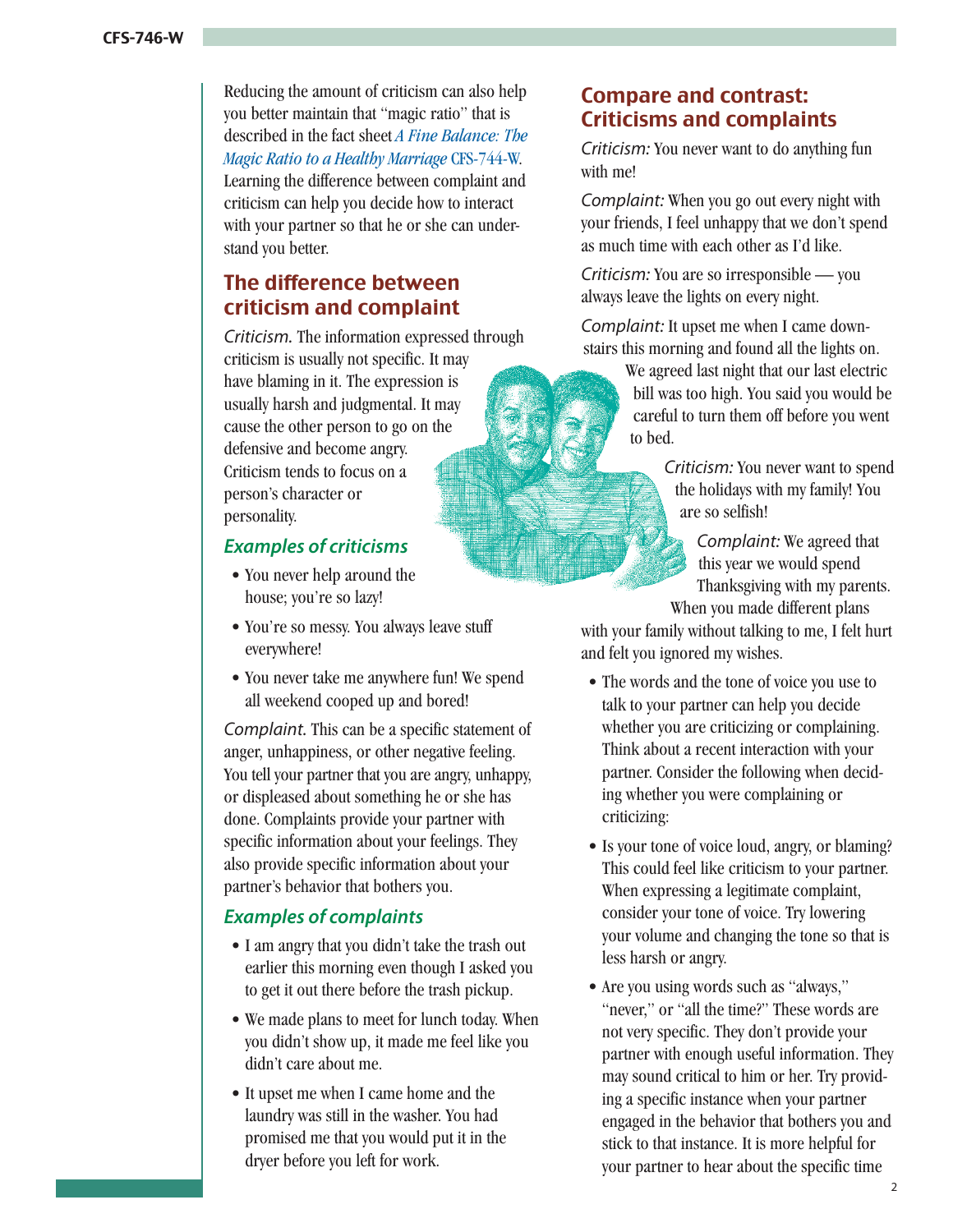Reducing the amount of criticism can also help you better maintain that "magic ratio" that is described in the fact sheet *A Fine Balance: The Magic Ratio to a Healthy Marriage* CFS-744-W. [Learning the difference between complaint and](http://www.extension.purdue.edu/extmedia/CFS/CFS-744-W.pdf)  criticism can help you decide how to interact with your partner so that he or she can understand you better.

# The difference between criticism and complaint

*Criticism.* The information expressed through criticism is usually not specific. It may have blaming in it. The expression is usually harsh and judgmental. It may cause the other person to go on the defensive and become angry. Criticism tends to focus on a person's character or personality.

#### *Examples of criticisms*

- You never help around the house; you're so lazy!
- • You're so messy. You always leave stuff everywhere!
- You never take me anywhere fun! We spend all weekend cooped up and bored!

*Complaint.* This can be a specific statement of anger, unhappiness, or other negative feeling. You tell your partner that you are angry, unhappy, or displeased about something he or she has done. Complaints provide your partner with specific information about your feelings. They also provide specific information about your partner's behavior that bothers you.

#### *Examples of complaints*

- I am angry that you didn't take the trash out earlier this morning even though I asked you to get it out there before the trash pickup.
- We made plans to meet for lunch today. When you didn't show up, it made me feel like you didn't care about me.
- It upset me when I came home and the laundry was still in the washer. You had promised me that you would put it in the dryer before you left for work.

# Compare and contrast: Criticisms and complaints

*Criticism:* You never want to do anything fun with me!

*Complaint:* When you go out every night with your friends, I feel unhappy that we don't spend as much time with each other as I'd like.

*Criticism:* You are so irresponsible — you always leave the lights on every night.

*Complaint:* It upset me when I came downstairs this morning and found all the lights on.

> We agreed last night that our last electric bill was too high. You said you would be careful to turn them off before you went to bed.

> > *Criticism:* You never want to spend the holidays with my family! You are so selfish!

*Complaint:* We agreed that this year we would spend Thanksgiving with my parents. When you made different plans

with your family without talking to me, I felt hurt and felt you ignored my wishes.

- The words and the tone of voice you use to talk to your partner can help you decide whether you are criticizing or complaining. Think about a recent interaction with your partner. Consider the following when deciding whether you were complaining or criticizing:
- Is your tone of voice loud, angry, or blaming? This could feel like criticism to your partner. When expressing a legitimate complaint, consider your tone of voice. Try lowering your volume and changing the tone so that is less harsh or angry.
- Are you using words such as "always," "never," or "all the time?" These words are not very specific. They don't provide your partner with enough useful information. They may sound critical to him or her. Try providing a specific instance when your partner engaged in the behavior that bothers you and stick to that instance. It is more helpful for your partner to hear about the specific time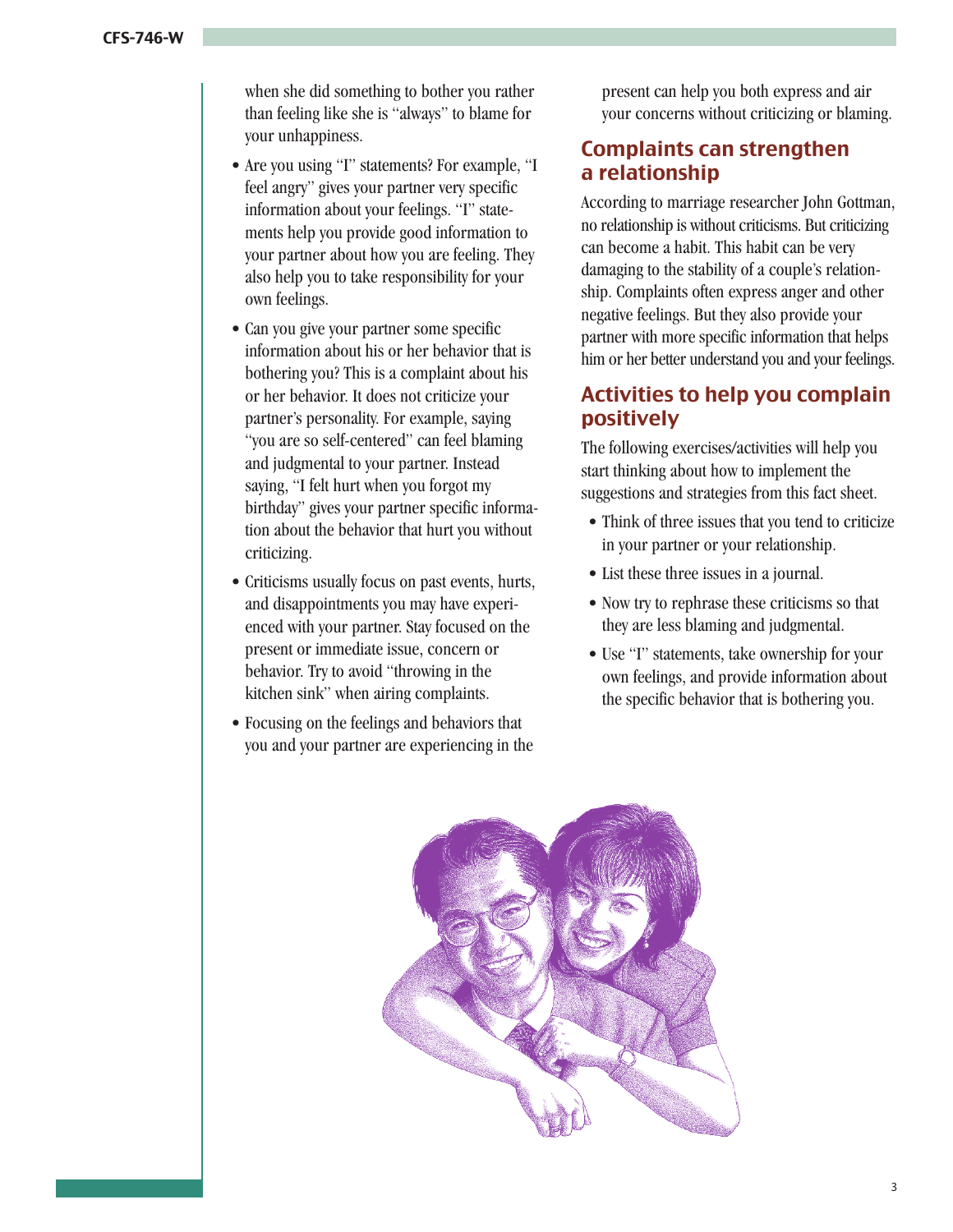when she did something to bother you rather than feeling like she is "always" to blame for your unhappiness.

- Are you using "I" statements? For example, "I feel angry" gives your partner very specific information about your feelings. "I" statements help you provide good information to your partner about how you are feeling. They also help you to take responsibility for your own feelings.
- Can you give your partner some specific information about his or her behavior that is bothering you? This is a complaint about his or her behavior. It does not criticize your partner's personality. For example, saying "you are so self-centered" can feel blaming and judgmental to your partner. Instead saying, "I felt hurt when you forgot my birthday" gives your partner specific information about the behavior that hurt you without criticizing.
- Criticisms usually focus on past events, hurts, and disappointments you may have experienced with your partner. Stay focused on the present or immediate issue, concern or behavior. Try to avoid "throwing in the kitchen sink" when airing complaints.
- Focusing on the feelings and behaviors that you and your partner are experiencing in the

present can help you both express and air your concerns without criticizing or blaming.

# Complaints can strengthen a relationship

According to marriage researcher John Gottman, no relationship is without criticisms. But criticizing can become a habit. This habit can be very damaging to the stability of a couple's relationship. Complaints often express anger and other negative feelings. But they also provide your partner with more specific information that helps him or her better understand you and your feelings.

# Activities to help you complain positively

The following exercises/activities will help you start thinking about how to implement the suggestions and strategies from this fact sheet.

- Think of three issues that you tend to criticize in your partner or your relationship.
- List these three issues in a journal.
- Now try to rephrase these criticisms so that they are less blaming and judgmental.
- • Use "I" statements, take ownership for your own feelings, and provide information about the specific behavior that is bothering you.